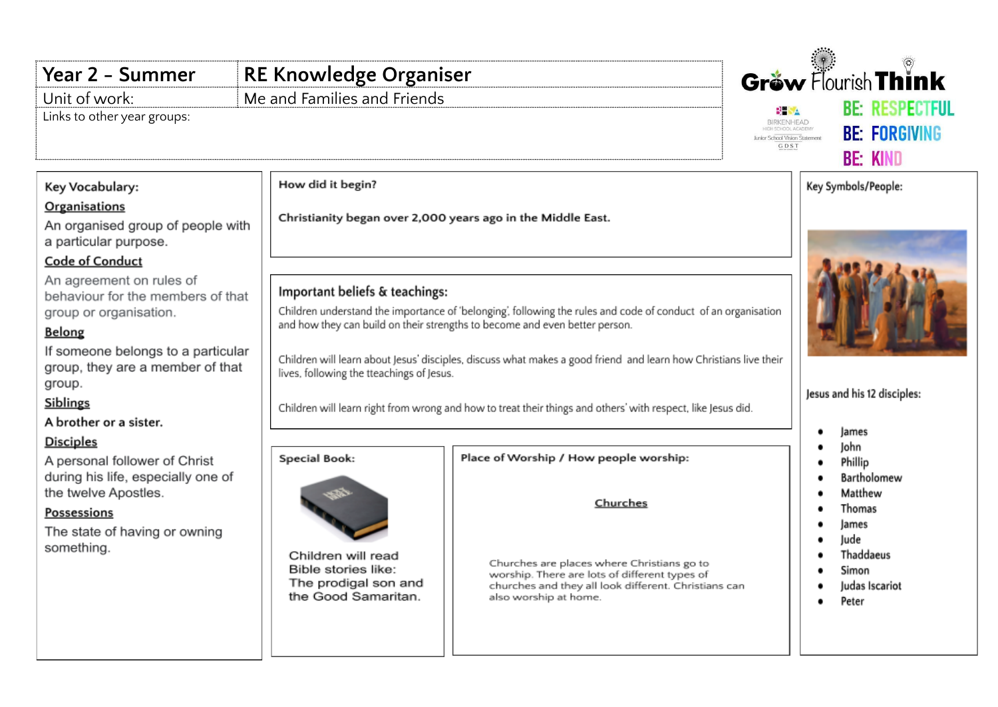## Gräw Flourish Think **Year 2 - Summer RE Knowledge Organiser** Unit of work: Me and Families and Friends **RF RESPECTEIL BHSA** Links to other year groups:**BIRKENHEAD BE: FORGIVING** Junior School Vision Statement GDST **BE: KIND** How did it begin? Key Vocabulary: Key Symbols/People: **Organisations** Christianity began over 2,000 years ago in the Middle East. An organised group of people with a particular purpose. **Code of Conduct** An agreement on rules of Important beliefs & teachings: behaviour for the members of that Children understand the importance of 'belonging', following the rules and code of conduct of an organisation group or organisation. and how they can build on their strengths to become and even better person. Belong If someone belongs to a particular Children will learn about Jesus' disciples, discuss what makes a good friend and learn how Christians live their group, they are a member of that lives, following the tteachings of Jesus. group. Jesus and his 12 disciples: Siblings Children will learn right from wrong and how to treat their things and others' with respect, like Jesus did. A brother or a sister. lames ٠ **Disciples** John  $\bullet$ **Special Book:** Place of Worship / How people worship: A personal follower of Christ Phillip during his life, especially one of Bartholomew  $\bullet$ the twelve Apostles.  $\bullet$ Matthew Churches Thomas **Possessions**  $\bullet$ lames The state of having or owning  $\bullet$ Jude something. Thaddaeus Children will read ٠ Churches are places where Christians go to Bible stories like:  $\bullet$ Simon worship. There are lots of different types of The prodigal son and churches and they all look different. Christians can Judas Iscariot the Good Samaritan. also worship at home. Peter ٠